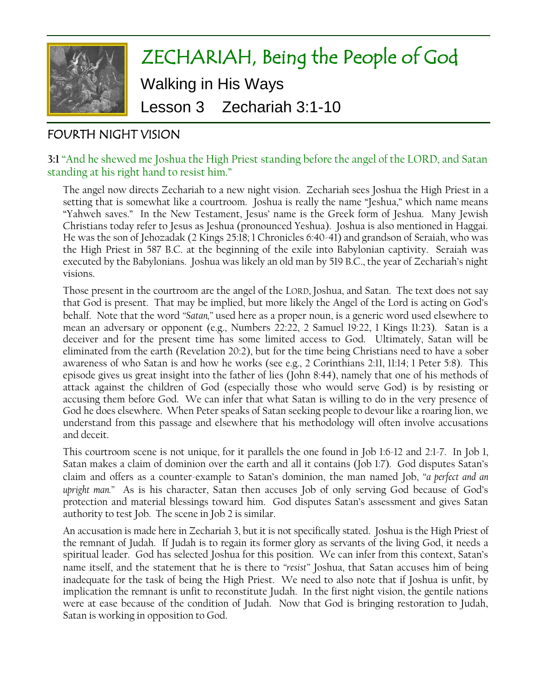

# FOURTH NIGHT VISION

#### **3:1** "And he shewed me Joshua the High Priest standing before the angel of the LORD, and Satan standing at his right hand to resist him."

The angel now directs Zechariah to a new night vision. Zechariah sees Joshua the High Priest in a setting that is somewhat like a courtroom. Joshua is really the name "Jeshua," which name means "Yahweh saves." In the New Testament, Jesus' name is the Greek form of Jeshua. Many Jewish Christians today refer to Jesus as Jeshua (pronounced Yeshua). Joshua is also mentioned in Haggai. He was the son of Jehozadak (2 Kings 25:18; 1 Chronicles 6:40-41) and grandson of Seraiah, who was the High Priest in 587 B.C. at the beginning of the exile into Babylonian captivity. Seraiah was executed by the Babylonians. Joshua was likely an old man by 519 B.C., the year of Zechariah's night visions.

Those present in the courtroom are the angel of the LORD, Joshua, and Satan. The text does not say that God is present. That may be implied, but more likely the Angel of the Lord is acting on God's behalf. Note that the word *"Satan,"* used here as a proper noun, is a generic word used elsewhere to mean an adversary or opponent (e.g., Numbers 22:22, 2 Samuel 19:22, 1 Kings 11:23). Satan is a deceiver and for the present time has some limited access to God. Ultimately, Satan will be eliminated from the earth (Revelation 20:2), but for the time being Christians need to have a sober awareness of who Satan is and how he works (see e.g., 2 Corinthians 2:11, 11:14; 1 Peter 5:8). This episode gives us great insight into the father of lies (John 8:44), namely that one of his methods of attack against the children of God (especially those who would serve God) is by resisting or accusing them before God. We can infer that what Satan is willing to do in the very presence of God he does elsewhere. When Peter speaks of Satan seeking people to devour like a roaring lion, we understand from this passage and elsewhere that his methodology will often involve accusations and deceit.

This courtroom scene is not unique, for it parallels the one found in Job 1:6-12 and 2:1-7. In Job 1, Satan makes a claim of dominion over the earth and all it contains (Job 1:7). God disputes Satan's claim and offers as a counter-example to Satan's dominion, the man named Job, *"a perfect and an upright man."* As is his character, Satan then accuses Job of only serving God because of God's protection and material blessings toward him. God disputes Satan's assessment and gives Satan authority to test Job. The scene in Job 2 is similar.

An accusation is made here in Zechariah 3, but it is not specifically stated. Joshua is the High Priest of the remnant of Judah. If Judah is to regain its former glory as servants of the living God, it needs a spiritual leader. God has selected Joshua for this position. We can infer from this context, Satan's name itself, and the statement that he is there to *"resist"* Joshua, that Satan accuses him of being inadequate for the task of being the High Priest. We need to also note that if Joshua is unfit, by implication the remnant is unfit to reconstitute Judah. In the first night vision, the gentile nations were at ease because of the condition of Judah. Now that God is bringing restoration to Judah, Satan is working in opposition to God.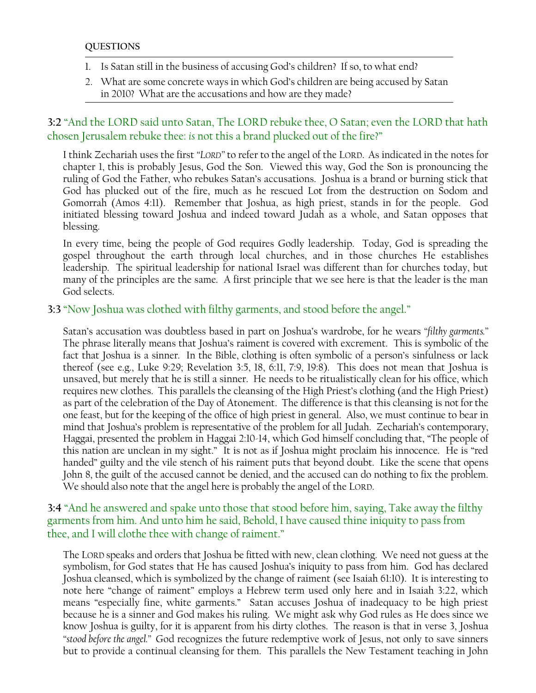- 1. Is Satan still in the business of accusing God's children? If so, to what end?
- 2. What are some concrete ways in which God's children are being accused by Satan in 2010? What are the accusations and how are they made?

# **3:2** "And the LORD said unto Satan, The LORD rebuke thee, O Satan; even the LORD that hath chosen Jerusalem rebuke thee: *is* not this a brand plucked out of the fire?"

I think Zechariah uses the first *"LORD"* to refer to the angel of the LORD. As indicated in the notes for chapter 1, this is probably Jesus, God the Son. Viewed this way, God the Son is pronouncing the ruling of God the Father, who rebukes Satan's accusations. Joshua is a brand or burning stick that God has plucked out of the fire, much as he rescued Lot from the destruction on Sodom and Gomorrah (Amos 4:11). Remember that Joshua, as high priest, stands in for the people. God initiated blessing toward Joshua and indeed toward Judah as a whole, and Satan opposes that blessing.

In every time, being the people of God requires Godly leadership. Today, God is spreading the gospel throughout the earth through local churches, and in those churches He establishes leadership. The spiritual leadership for national Israel was different than for churches today, but many of the principles are the same. A first principle that we see here is that the leader is the man God selects.

## **3:3** "Now Joshua was clothed with filthy garments, and stood before the angel."

Satan's accusation was doubtless based in part on Joshua's wardrobe, for he wears *"filthy garments."*  The phrase literally means that Joshua's raiment is covered with excrement. This is symbolic of the fact that Joshua is a sinner. In the Bible, clothing is often symbolic of a person's sinfulness or lack thereof (see e.g., Luke 9:29; Revelation 3:5, 18, 6:11, 7:9, 19:8). This does not mean that Joshua is unsaved, but merely that he is still a sinner. He needs to be ritualistically clean for his office, which requires new clothes. This parallels the cleansing of the High Priest's clothing (and the High Priest) as part of the celebration of the Day of Atonement. The difference is that this cleansing is not for the one feast, but for the keeping of the office of high priest in general. Also, we must continue to bear in mind that Joshua's problem is representative of the problem for all Judah. Zechariah's contemporary, Haggai, presented the problem in Haggai 2:10-14, which God himself concluding that, "The people of this nation are unclean in my sight." It is not as if Joshua might proclaim his innocence. He is "red handed" guilty and the vile stench of his raiment puts that beyond doubt. Like the scene that opens John 8, the guilt of the accused cannot be denied, and the accused can do nothing to fix the problem. We should also note that the angel here is probably the angel of the LORD.

## **3:4** "And he answered and spake unto those that stood before him, saying, Take away the filthy garments from him. And unto him he said, Behold, I have caused thine iniquity to pass from thee, and I will clothe thee with change of raiment."

The LORD speaks and orders that Joshua be fitted with new, clean clothing. We need not guess at the symbolism, for God states that He has caused Joshua's iniquity to pass from him. God has declared Joshua cleansed, which is symbolized by the change of raiment (see Isaiah 61:10). It is interesting to note here "change of raiment" employs a Hebrew term used only here and in Isaiah 3:22, which means "especially fine, white garments." Satan accuses Joshua of inadequacy to be high priest because he is a sinner and God makes his ruling. We might ask why God rules as He does since we know Joshua is guilty, for it is apparent from his dirty clothes. The reason is that in verse 3, Joshua *"stood before the angel."* God recognizes the future redemptive work of Jesus, not only to save sinners but to provide a continual cleansing for them. This parallels the New Testament teaching in John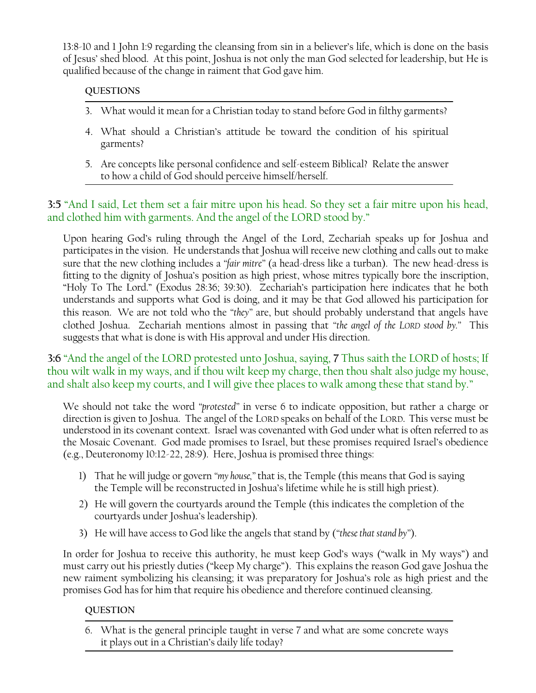13:8-10 and 1 John 1:9 regarding the cleansing from sin in a believer's life, which is done on the basis of Jesus' shed blood. At this point, Joshua is not only the man God selected for leadership, but He is qualified because of the change in raiment that God gave him.

#### **QUESTIONS**

- 3. What would it mean for a Christian today to stand before God in filthy garments?
- 4. What should a Christian's attitude be toward the condition of his spiritual garments?
- 5. Are concepts like personal confidence and self-esteem Biblical? Relate the answer to how a child of God should perceive himself/herself.

# **3:5** "And I said, Let them set a fair mitre upon his head. So they set a fair mitre upon his head, and clothed him with garments. And the angel of the LORD stood by."

Upon hearing God's ruling through the Angel of the Lord, Zechariah speaks up for Joshua and participates in the vision. He understands that Joshua will receive new clothing and calls out to make sure that the new clothing includes a *"fair mitre"* (a head-dress like a turban). The new head-dress is fitting to the dignity of Joshua's position as high priest, whose mitres typically bore the inscription, "Holy To The Lord." (Exodus 28:36; 39:30). Zechariah's participation here indicates that he both understands and supports what God is doing, and it may be that God allowed his participation for this reason. We are not told who the *"they"* are, but should probably understand that angels have clothed Joshua. Zechariah mentions almost in passing that *"the angel of the LORD stood by."* This suggests that what is done is with His approval and under His direction.

**3:6** "And the angel of the LORD protested unto Joshua, saying, **7** Thus saith the LORD of hosts; If thou wilt walk in my ways, and if thou wilt keep my charge, then thou shalt also judge my house, and shalt also keep my courts, and I will give thee places to walk among these that stand by."

We should not take the word *"protested"* in verse 6 to indicate opposition, but rather a charge or direction is given to Joshua. The angel of the LORD speaks on behalf of the LORD. This verse must be understood in its covenant context. Israel was covenanted with God under what is often referred to as the Mosaic Covenant. God made promises to Israel, but these promises required Israel's obedience (e.g., Deuteronomy 10:12-22, 28:9). Here, Joshua is promised three things:

- 1) That he will judge or govern *"my house,"* that is, the Temple (this means that God is saying the Temple will be reconstructed in Joshua's lifetime while he is still high priest).
- 2) He will govern the courtyards around the Temple (this indicates the completion of the courtyards under Joshua's leadership).
- 3) He will have access to God like the angels that stand by (*"these that stand by"*).

In order for Joshua to receive this authority, he must keep God's ways ("walk in My ways") and must carry out his priestly duties ("keep My charge"). This explains the reason God gave Joshua the new raiment symbolizing his cleansing; it was preparatory for Joshua's role as high priest and the promises God has for him that require his obedience and therefore continued cleansing.

#### **QUESTION**

6. What is the general principle taught in verse 7 and what are some concrete ways it plays out in a Christian's daily life today?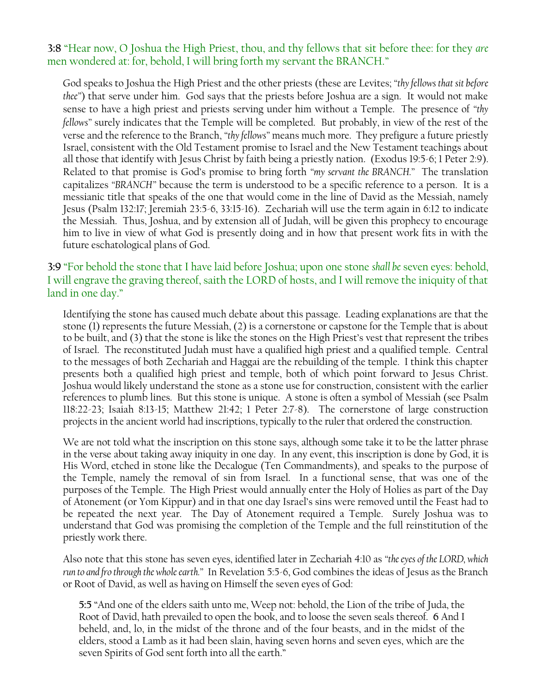#### **3:8** "Hear now, O Joshua the High Priest, thou, and thy fellows that sit before thee: for they *are* men wondered at: for, behold, I will bring forth my servant the BRANCH."

God speaks to Joshua the High Priest and the other priests (these are Levites; *"thy fellows that sit before thee"*) that serve under him. God says that the priests before Joshua are a sign. It would not make sense to have a high priest and priests serving under him without a Temple. The presence of *"thy fellows"* surely indicates that the Temple will be completed. But probably, in view of the rest of the verse and the reference to the Branch, *"thy fellows"* means much more. They prefigure a future priestly Israel, consistent with the Old Testament promise to Israel and the New Testament teachings about all those that identify with Jesus Christ by faith being a priestly nation. (Exodus 19:5-6; 1 Peter 2:9). Related to that promise is God's promise to bring forth *"my servant the BRANCH."* The translation capitalizes *"BRANCH"* because the term is understood to be a specific reference to a person. It is a messianic title that speaks of the one that would come in the line of David as the Messiah, namely Jesus (Psalm 132:17; Jeremiah 23:5-6, 33:15-16). Zechariah will use the term again in 6:12 to indicate the Messiah. Thus, Joshua, and by extension all of Judah, will be given this prophecy to encourage him to live in view of what God is presently doing and in how that present work fits in with the future eschatological plans of God.

## **3:9** "For behold the stone that I have laid before Joshua; upon one stone *shall be* seven eyes: behold, I will engrave the graving thereof, saith the LORD of hosts, and I will remove the iniquity of that land in one day."

Identifying the stone has caused much debate about this passage. Leading explanations are that the stone (1) represents the future Messiah, (2) is a cornerstone or capstone for the Temple that is about to be built, and (3) that the stone is like the stones on the High Priest's vest that represent the tribes of Israel. The reconstituted Judah must have a qualified high priest and a qualified temple. Central to the messages of both Zechariah and Haggai are the rebuilding of the temple. I think this chapter presents both a qualified high priest and temple, both of which point forward to Jesus Christ. Joshua would likely understand the stone as a stone use for construction, consistent with the earlier references to plumb lines. But this stone is unique. A stone is often a symbol of Messiah (see Psalm 118:22-23; Isaiah 8:13-15; Matthew 21:42; 1 Peter 2:7-8). The cornerstone of large construction projects in the ancient world had inscriptions, typically to the ruler that ordered the construction.

We are not told what the inscription on this stone says, although some take it to be the latter phrase in the verse about taking away iniquity in one day. In any event, this inscription is done by God, it is His Word, etched in stone like the Decalogue (Ten Commandments), and speaks to the purpose of the Temple, namely the removal of sin from Israel. In a functional sense, that was one of the purposes of the Temple. The High Priest would annually enter the Holy of Holies as part of the Day of Atonement (or Yom Kippur) and in that one day Israel's sins were removed until the Feast had to be repeated the next year. The Day of Atonement required a Temple. Surely Joshua was to understand that God was promising the completion of the Temple and the full reinstitution of the priestly work there.

Also note that this stone has seven eyes, identified later in Zechariah 4:10 as *"the eyes of the LORD, which run to and fro through the whole earth."* In Revelation 5:5-6, God combines the ideas of Jesus as the Branch or Root of David, as well as having on Himself the seven eyes of God:

**5:5** "And one of the elders saith unto me, Weep not: behold, the Lion of the tribe of Juda, the Root of David, hath prevailed to open the book, and to loose the seven seals thereof. **6** And I beheld, and, lo, in the midst of the throne and of the four beasts, and in the midst of the elders, stood a Lamb as it had been slain, having seven horns and seven eyes, which are the seven Spirits of God sent forth into all the earth."